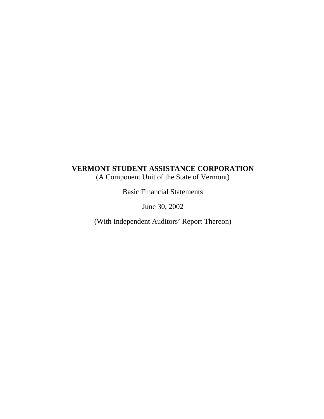(A Component Unit of the State of Vermont)

Basic Financial Statements

June 30, 2002

(With Independent Auditors' Report Thereon)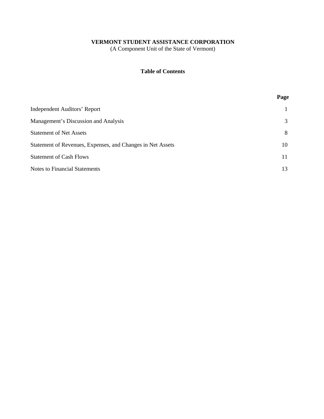(A Component Unit of the State of Vermont)

# **Table of Contents**

|                                                            | Page |
|------------------------------------------------------------|------|
| <b>Independent Auditors' Report</b>                        |      |
| Management's Discussion and Analysis                       | 3    |
| <b>Statement of Net Assets</b>                             | 8    |
| Statement of Revenues, Expenses, and Changes in Net Assets | 10   |
| <b>Statement of Cash Flows</b>                             | 11   |
| <b>Notes to Financial Statements</b>                       | 13   |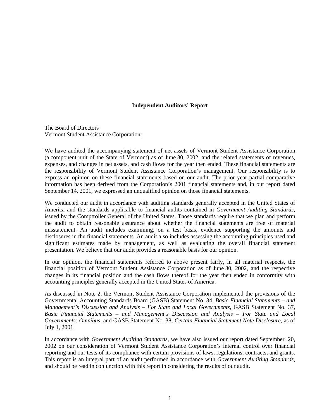#### **Independent Auditors' Report**

The Board of Directors Vermont Student Assistance Corporation:

We have audited the accompanying statement of net assets of Vermont Student Assistance Corporation (a component unit of the State of Vermont) as of June 30, 2002, and the related statements of revenues, expenses, and changes in net assets, and cash flows for the year then ended. These financial statements are the responsibility of Vermont Student Assistance Corporation's management. Our responsibility is to express an opinion on these financial statements based on our audit. The prior year partial comparative information has been derived from the Corporation's 2001 financial statements and, in our report dated September 14, 2001, we expressed an unqualified opinion on those financial statements.

We conducted our audit in accordance with auditing standards generally accepted in the United States of America and the standards applicable to financial audits contained in *Government Auditing Standards*, issued by the Comptroller General of the United States. Those standards require that we plan and perform the audit to obtain reasonable assurance about whether the financial statements are free of material misstatement. An audit includes examining, on a test basis, evidence supporting the amounts and disclosures in the financial statements. An audit also includes assessing the accounting principles used and significant estimates made by management, as well as evaluating the overall financial statement presentation. We believe that our audit provides a reasonable basis for our opinion.

In our opinion, the financial statements referred to above present fairly, in all material respects, the financial position of Vermont Student Assistance Corporation as of June 30, 2002, and the respective changes in its financial position and the cash flows thereof for the year then ended in conformity with accounting principles generally accepted in the United States of America.

As discussed in Note 2, the Vermont Student Assistance Corporation implemented the provisions of the Governmental Accounting Standards Board (GASB) Statement No. 34, *Basic Financial Statements – and Management's Discussion and Analysis – For State and Local Governments*, GASB Statement No. 37, *Basic Financial Statements – and Management's Discussion and Analysis – For State and Local Governments: Omnibus*, and GASB Statement No. 38, *Certain Financial Statement Note Disclosure*, as of July 1, 2001.

In accordance with *Government Auditing Standards*, we have also issued our report dated September 20, 2002 on our consideration of Vermont Student Assistance Corporation's internal control over financial reporting and our tests of its compliance with certain provisions of laws, regulations, contracts, and grants. This report is an integral part of an audit performed in accordance with *Government Auditing Standards*, and should be read in conjunction with this report in considering the results of our audit.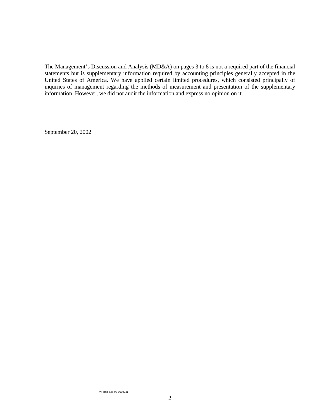The Management's Discussion and Analysis (MD&A) on pages 3 to 8 is not a required part of the financial statements but is supplementary information required by accounting principles generally accepted in the United States of America. We have applied certain limited procedures, which consisted principally of inquiries of management regarding the methods of measurement and presentation of the supplementary information. However, we did not audit the information and express no opinion on it.

September 20, 2002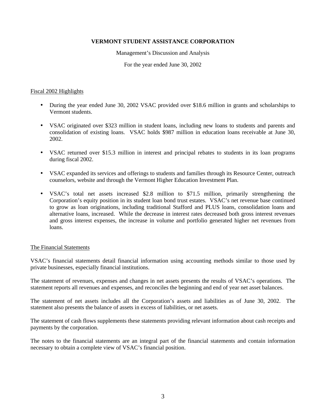Management's Discussion and Analysis

For the year ended June 30, 2002

#### Fiscal 2002 Highlights

- During the year ended June 30, 2002 VSAC provided over \$18.6 million in grants and scholarships to Vermont students.
- VSAC originated over \$323 million in student loans, including new loans to students and parents and consolidation of existing loans. VSAC holds \$987 million in education loans receivable at June 30, 2002.
- VSAC returned over \$15.3 million in interest and principal rebates to students in its loan programs during fiscal 2002.
- VSAC expanded its services and offerings to students and families through its Resource Center, outreach counselors, website and through the Vermont Higher Education Investment Plan.
- VSAC's total net assets increased \$2.8 million to \$71.5 million, primarily strengthening the Corporation's equity position in its student loan bond trust estates. VSAC's net revenue base continued to grow as loan originations, including traditional Stafford and PLUS loans, consolidation loans and alternative loans, increased. While the decrease in interest rates decreased both gross interest revenues and gross interest expenses, the increase in volume and portfolio generated higher net revenues from loans.

### The Financial Statements

VSAC's financial statements detail financial information using accounting methods similar to those used by private businesses, especially financial institutions.

The statement of revenues, expenses and changes in net assets presents the results of VSAC's operations. The statement reports all revenues and expenses, and reconciles the beginning and end of year net asset balances.

The statement of net assets includes all the Corporation's assets and liabilities as of June 30, 2002. The statement also presents the balance of assets in excess of liabilities, or net assets.

The statement of cash flows supplements these statements providing relevant information about cash receipts and payments by the corporation.

The notes to the financial statements are an integral part of the financial statements and contain information necessary to obtain a complete view of VSAC's financial position.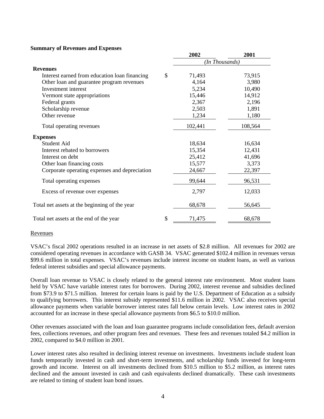#### **Summary of Revenues and Expenses**

|                                               | 2002           | 2001    |
|-----------------------------------------------|----------------|---------|
|                                               | (In Thousands) |         |
| <b>Revenues</b>                               |                |         |
| Interest earned from education loan financing | \$<br>71,493   | 73,915  |
| Other loan and guarantee program revenues     | 4,164          | 3,980   |
| Investment interest                           | 5,234          | 10,490  |
| Vermont state appropriations                  | 15,446         | 14,912  |
| Federal grants                                | 2,367          | 2,196   |
| Scholarship revenue                           | 2,503          | 1,891   |
| Other revenue                                 | 1,234          | 1,180   |
| Total operating revenues                      | 102,441        | 108,564 |
| <b>Expenses</b>                               |                |         |
| Student Aid                                   | 18,634         | 16,634  |
| Interest rebated to borrowers                 | 15,354         | 12,431  |
| Interest on debt                              | 25,412         | 41,696  |
| Other loan financing costs                    | 15,577         | 3,373   |
| Corporate operating expenses and depreciation | 24,667         | 22,397  |
| Total operating expenses                      | 99,644         | 96,531  |
| Excess of revenue over expenses               | 2,797          | 12,033  |
| Total net assets at the beginning of the year | 68,678         | 56,645  |
| Total net assets at the end of the year       | \$<br>71,475   | 68,678  |

#### Revenues

VSAC's fiscal 2002 operations resulted in an increase in net assets of \$2.8 million. All revenues for 2002 are considered operating revenues in accordance with GASB 34. VSAC generated \$102.4 million in revenues versus \$99.6 million in total expenses. VSAC's revenues include interest income on student loans, as well as various federal interest subsidies and special allowance payments.

Overall loan revenue to VSAC is closely related to the general interest rate environment. Most student loans held by VSAC have variable interest rates for borrowers. During 2002, interest revenue and subsidies declined from \$73.9 to \$71.5 million. Interest for certain loans is paid by the U.S. Department of Education as a subsidy to qualifying borrowers. This interest subsidy represented \$11.6 million in 2002. VSAC also receives special allowance payments when variable borrower interest rates fall below certain levels. Low interest rates in 2002 accounted for an increase in these special allowance payments from \$6.5 to \$10.0 million.

Other revenues associated with the loan and loan guarantee programs include consolidation fees, default aversion fees, collections revenues, and other program fees and revenues. These fees and revenues totaled \$4.2 million in 2002, compared to \$4.0 million in 2001.

Lower interest rates also resulted in declining interest revenue on investments. Investments include student loan funds temporarily invested in cash and short-term investments, and scholarship funds invested for long-term growth and income. Interest on all investments declined from \$10.5 million to \$5.2 million, as interest rates declined and the amount invested in cash and cash equivalents declined dramatically. These cash investments are related to timing of student loan bond issues.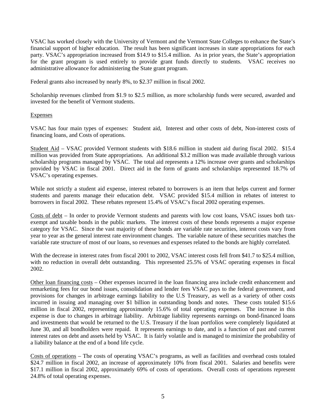VSAC has worked closely with the University of Vermont and the Vermont State Colleges to enhance the State's financial support of higher education. The result has been significant increases in state appropriations for each party. VSAC's appropriation increased from \$14.9 to \$15.4 million. As in prior years, the State's appropriation for the grant program is used entirely to provide grant funds directly to students. VSAC receives no administrative allowance for administering the State grant program.

Federal grants also increased by nearly 8%, to \$2.37 million in fiscal 2002.

Scholarship revenues climbed from \$1.9 to \$2.5 million, as more scholarship funds were secured, awarded and invested for the benefit of Vermont students.

#### **Expenses**

VSAC has four main types of expenses: Student aid, Interest and other costs of debt, Non-interest costs of financing loans, and Costs of operations.

Student Aid – VSAC provided Vermont students with \$18.6 million in student aid during fiscal 2002. \$15.4 million was provided from State appropriations. An additional \$3.2 million was made available through various scholarship programs managed by VSAC. The total aid represents a 12% increase over grants and scholarships provided by VSAC in fiscal 2001. Direct aid in the form of grants and scholarships represented 18.7% of VSAC's operating expenses.

While not strictly a student aid expense, interest rebated to borrowers is an item that helps current and former students and parents manage their education debt. VSAC provided \$15.4 million in rebates of interest to borrowers in fiscal 2002. These rebates represent 15.4% of VSAC's fiscal 2002 operating expenses.

Costs of debt – In order to provide Vermont students and parents with low cost loans, VSAC issues both taxexempt and taxable bonds in the public markets. The interest costs of these bonds represents a major expense category for VSAC. Since the vast majority of these bonds are variable rate securities, interest costs vary from year to year as the general interest rate environment changes. The variable nature of these securities matches the variable rate structure of most of our loans, so revenues and expenses related to the bonds are highly correlated.

With the decrease in interest rates from fiscal 2001 to 2002, VSAC interest costs fell from \$41.7 to \$25.4 million, with no reduction in overall debt outstanding. This represented 25.5% of VSAC operating expenses in fiscal 2002.

Other loan financing costs – Other expenses incurred in the loan financing area include credit enhancement and remarketing fees for our bond issues, consolidation and lender fees VSAC pays to the federal government, and provisions for changes in arbitrage earnings liability to the U.S Treasury, as well as a variety of other costs incurred in issuing and managing over \$1 billion in outstanding bonds and notes. These costs totaled \$15.6 million in fiscal 2002, representing approximately 15.6% of total operating expenses. The increase in this expense is due to changes in arbitrage liability. Arbitrage liability represents earnings on bond-financed loans and investments that would be returned to the U.S. Treasury if the loan portfolios were completely liquidated at June 30, and all bondholders were repaid. It represents earnings to date, and is a function of past and current interest rates on debt and assets held by VSAC. It is fairly volatile and is managed to minimize the probability of a liability balance at the end of a bond life cycle.

Costs of operations – The costs of operating VSAC's programs, as well as facilities and overhead costs totaled \$24.7 million in fiscal 2002, an increase of approximately 10% from fiscal 2001. Salaries and benefits were \$17.1 million in fiscal 2002, approximately 69% of costs of operations. Overall costs of operations represent 24.8% of total operating expenses.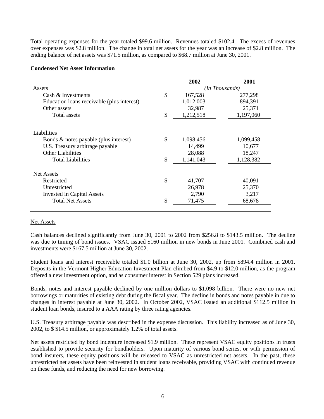Total operating expenses for the year totaled \$99.6 million. Revenues totaled \$102.4. The excess of revenues over expenses was \$2.8 million. The change in total net assets for the year was an increase of \$2.8 million. The ending balance of net assets was \$71.5 million, as compared to \$68.7 million at June 30, 2001.

### **Condensed Net Asset Information**

|                                                                                                                     | 2002                                | 2001                          |
|---------------------------------------------------------------------------------------------------------------------|-------------------------------------|-------------------------------|
| Assets                                                                                                              |                                     | (In Thousands)                |
| Cash & Investments                                                                                                  | \$<br>167,528                       | 277,298                       |
| Education loans receivable (plus interest)                                                                          | 1,012,003                           | 894,391                       |
| Other assets                                                                                                        | 32,987                              | 25,371                        |
| Total assets                                                                                                        | \$<br>1,212,518                     | 1,197,060                     |
| Liabilities<br>Bonds & notes payable (plus interest)<br>U.S. Treasury arbitrage payable<br><b>Other Liabilities</b> | \$<br>1,098,456<br>14,499<br>28,088 | 1,099,458<br>10,677<br>18,247 |
| <b>Total Liabilities</b>                                                                                            | \$<br>1,141,043                     | 1,128,382                     |
| Net Assets<br>Restricted<br>Unrestricted                                                                            | \$<br>41,707<br>26,978              | 40,091<br>25,370              |
| <b>Invested in Capital Assets</b>                                                                                   | 2,790                               | 3,217                         |
| <b>Total Net Assets</b>                                                                                             | \$<br>71,475                        | 68,678                        |
|                                                                                                                     |                                     |                               |

### Net Assets

Cash balances declined significantly from June 30, 2001 to 2002 from \$256.8 to \$143.5 million. The decline was due to timing of bond issues. VSAC issued \$160 million in new bonds in June 2001. Combined cash and investments were \$167.5 million at June 30, 2002.

Student loans and interest receivable totaled \$1.0 billion at June 30, 2002, up from \$894.4 million in 2001. Deposits in the Vermont Higher Education Investment Plan climbed from \$4.9 to \$12.0 million, as the program offered a new investment option, and as consumer interest in Section 529 plans increased.

Bonds, notes and interest payable declined by one million dollars to \$1.098 billion. There were no new net borrowings or maturities of existing debt during the fiscal year. The decline in bonds and notes payable in due to changes in interest payable at June 30, 2002. In October 2002, VSAC issued an additional \$112.5 million in student loan bonds, insured to a AAA rating by three rating agencies.

U.S. Treasury arbitrage payable was described in the expense discussion. This liability increased as of June 30, 2002, to \$ \$14.5 million, or approximately 1.2% of total assets.

Net assets restricted by bond indenture increased \$1.9 million. These represent VSAC equity positions in trusts established to provide security for bondholders. Upon maturity of various bond series, or with permission of bond insurers, these equity positions will be released to VSAC as unrestricted net assets. In the past, these unrestricted net assets have been reinvested in student loans receivable, providing VSAC with continued revenue on these funds, and reducing the need for new borrowing.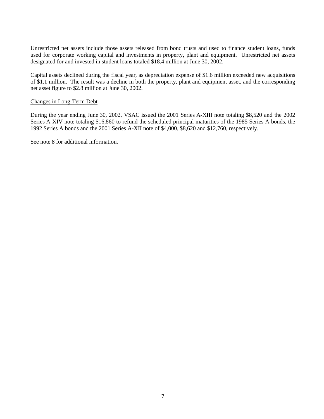Unrestricted net assets include those assets released from bond trusts and used to finance student loans, funds used for corporate working capital and investments in property, plant and equipment. Unrestricted net assets designated for and invested in student loans totaled \$18.4 million at June 30, 2002.

Capital assets declined during the fiscal year, as depreciation expense of \$1.6 million exceeded new acquisitions of \$1.1 million. The result was a decline in both the property, plant and equipment asset, and the corresponding net asset figure to \$2.8 million at June 30, 2002.

### Changes in Long-Term Debt

During the year ending June 30, 2002, VSAC issued the 2001 Series A-XIII note totaling \$8,520 and the 2002 Series A-XIV note totaling \$16,860 to refund the scheduled principal maturities of the 1985 Series A bonds, the 1992 Series A bonds and the 2001 Series A-XII note of \$4,000, \$8,620 and \$12,760, respectively.

See note 8 for additional information.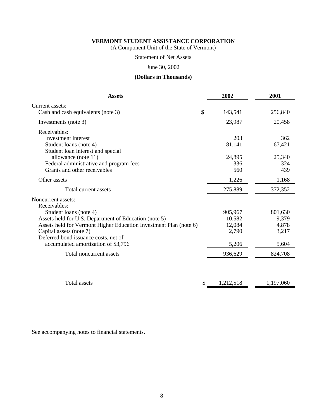(A Component Unit of the State of Vermont)

### Statement of Net Assets

# June 30, 2002

# **(Dollars in Thousands)**

| <b>Assets</b>                                                               |    | 2002      | 2001      |
|-----------------------------------------------------------------------------|----|-----------|-----------|
| Current assets:                                                             |    |           |           |
| Cash and cash equivalents (note 3)                                          | \$ | 143,541   | 256,840   |
| Investments (note 3)                                                        |    | 23,987    | 20,458    |
| Receivables:<br>Investment interest                                         |    | 203       | 362       |
| Student loans (note 4)                                                      |    | 81,141    | 67,421    |
| Student loan interest and special<br>allowance (note 11)                    |    | 24,895    | 25,340    |
| Federal administrative and program fees                                     |    | 336       | 324       |
| Grants and other receivables                                                |    | 560       | 439       |
| Other assets                                                                |    | 1,226     | 1,168     |
| Total current assets                                                        |    | 275,889   | 372,352   |
| Noncurrent assets:                                                          |    |           |           |
| Receivables:<br>Student loans (note 4)                                      |    | 905,967   | 801,630   |
| Assets held for U.S. Department of Education (note 5)                       |    | 10,582    | 9,379     |
| Assets held for Vermont Higher Education Investment Plan (note 6)           |    | 12,084    | 4,878     |
| Capital assets (note 7)                                                     |    | 2,790     | 3,217     |
| Deferred bond issuance costs, net of<br>accumulated amortization of \$3,796 |    | 5,206     | 5,604     |
| Total noncurrent assets                                                     |    | 936,629   | 824,708   |
|                                                                             |    |           |           |
| <b>Total assets</b>                                                         | S  | 1,212,518 | 1,197,060 |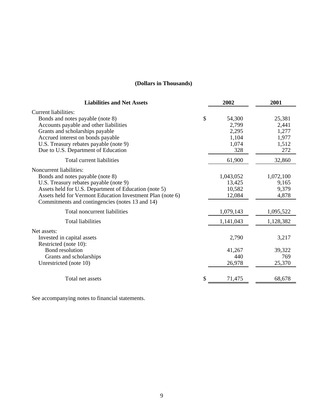# **(Dollars in Thousands)**

| <b>Liabilities and Net Assets</b>                                                                                                                                                                                                                                               | 2002                                                    | 2001                                              |
|---------------------------------------------------------------------------------------------------------------------------------------------------------------------------------------------------------------------------------------------------------------------------------|---------------------------------------------------------|---------------------------------------------------|
| Current liabilities:<br>Bonds and notes payable (note 8)<br>Accounts payable and other liabilities<br>Grants and scholarships payable<br>Accrued interest on bonds payable<br>U.S. Treasury rebates payable (note 9)<br>Due to U.S. Department of Education                     | \$<br>54,300<br>2,799<br>2,295<br>1,104<br>1,074<br>328 | 25,381<br>2,441<br>1,277<br>1,977<br>1,512<br>272 |
| Total current liabilities                                                                                                                                                                                                                                                       | 61,900                                                  | 32,860                                            |
| Noncurrent liabilities:<br>Bonds and notes payable (note 8)<br>U.S. Treasury rebates payable (note 9)<br>Assets held for U.S. Department of Education (note 5)<br>Assets held for Vermont Education Investment Plan (note 6)<br>Commitments and contingencies (notes 13 and 14) | 1,043,052<br>13,425<br>10,582<br>12,084                 | 1,072,100<br>9,165<br>9,379<br>4,878              |
| Total noncurrent liabilities                                                                                                                                                                                                                                                    | 1,079,143                                               | 1,095,522                                         |
| <b>Total liabilities</b>                                                                                                                                                                                                                                                        | 1,141,043                                               | 1,128,382                                         |
| Net assets:<br>Invested in capital assets<br>Restricted (note 10):<br><b>Bond</b> resolution<br>Grants and scholarships<br>Unrestricted (note 10)                                                                                                                               | 2,790<br>41,267<br>440<br>26,978                        | 3,217<br>39,322<br>769<br>25,370                  |
| Total net assets                                                                                                                                                                                                                                                                | \$<br>71,475                                            | 68,678                                            |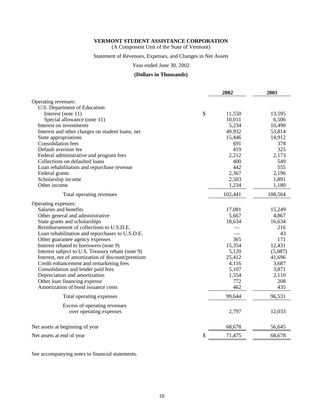(A Component Unit of the State of Vermont)

#### Statement of Revenues, Expenses, and Changes in Net Assets

# Year ended June 30, 2002

#### **(Dollars in Thousands)**

|                                                   | 2002    | 2001    |
|---------------------------------------------------|---------|---------|
| Operating revenues:                               |         |         |
| U.S. Department of Education:                     |         |         |
| \$<br>Interest (note 11)                          | 11,550  | 13,595  |
| Special allowance (note 11)                       | 10,011  | 6,506   |
| Interest on investments                           | 5,234   | 10,490  |
| Interest and other charges on student loans, net  | 49,932  | 53,814  |
| State appropriations                              | 15,446  | 14,912  |
| <b>Consolidation</b> fees                         | 691     | 378     |
| Default aversion fee                              | 419     | 325     |
| Federal administrative and program fees           | 2,212   | 2,173   |
| Collections on defaulted loans                    | 400     | 549     |
| Loan rehabilitation and repurchase revenue        | 442     | 555     |
| Federal grants                                    | 2,367   | 2,196   |
| Scholarship income                                | 2,503   | 1,891   |
| Other income                                      | 1,234   | 1,180   |
| Total operating revenues                          | 102,441 | 108,564 |
| Operating expenses:                               |         |         |
| Salaries and benefits                             | 17,081  | 15,249  |
| Other general and administrative                  | 5,667   | 4,867   |
| State grants and scholarships                     | 18,634  | 16,634  |
| Reimbursement of collections to U.S.D.E.          |         | 216     |
| Loan rehabilitation and repurchases to U.S.D.E.   |         | 43      |
| Other guarantee agency expenses                   | 365     | 171     |
| Interest rebated to borrowers (note 9)            | 15,354  | 12,431  |
| Interest subject to U.S. Treasury rebate (note 9) | 5,120   | (5,087) |
| Interest, net of amortization of discount/premium | 25,412  | 41,696  |
| Credit enhancement and remarketing fees           | 4,116   | 3,687   |
| Consolidation and lender paid fees                | 5,107   | 3,871   |
| Depreciation and amortization                     | 1,554   | 2,110   |
| Other loan financing expense                      | 772     | 208     |
| Amortization of bond issuance costs               | 462     | 435     |
| Total operating expenses                          | 99,644  | 96,531  |
| Excess of operating revenues                      |         |         |
| over operating expenses                           | 2,797   | 12,033  |
| Net assets at beginning of year                   | 68,678  | 56,645  |
| \$<br>Net assets at end of year                   | 71,475  | 68,678  |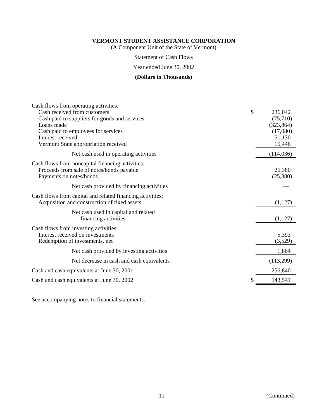(A Component Unit of the State of Vermont)

Statement of Cash Flows

Year ended June 30, 2002

### **(Dollars in Thousands)**

| Cash flows from operating activities:                     |            |
|-----------------------------------------------------------|------------|
| \$<br>Cash received from customers                        | 236,042    |
| Cash paid to suppliers for goods and services             | (75,710)   |
| Loans made                                                | (323, 864) |
| Cash paid to employees for services                       | (17,080)   |
| Interest received                                         | 51,130     |
| Vermont State appropriation received                      | 15,446     |
| Net cash used in operating activities                     | (114, 036) |
| Cash flows from noncapital financing activities:          |            |
| Proceeds from sale of notes/bonds payable                 | 25,380     |
| Payments on notes/bonds                                   | (25,380)   |
| Net cash provided by financing activities                 |            |
| Cash flows from capital and related financing activities: |            |
| Acquisition and construction of fixed assets              | (1,127)    |
| Net cash used in capital and related                      |            |
| financing activities                                      | (1,127)    |
| Cash flows from investing activities:                     |            |
| Interest received on investments                          | 5,393      |
| Redemption of investments, net                            | (3,529)    |
|                                                           |            |
| Net cash provided by investing activities                 | 1,864      |
| Net decrease in cash and cash equivalents                 | (113,299)  |
| Cash and cash equivalents at June 30, 2001                | 256,840    |
| \$<br>Cash and cash equivalents at June 30, 2002          | 143,541    |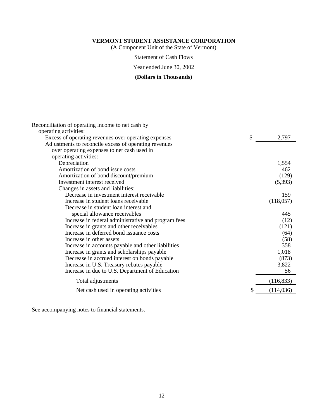(A Component Unit of the State of Vermont)

Statement of Cash Flows

Year ended June 30, 2002

# **(Dollars in Thousands)**

| Reconciliation of operating income to net cash by     |                  |
|-------------------------------------------------------|------------------|
| operating activities:                                 |                  |
| Excess of operating revenues over operating expenses  | \$<br>2,797      |
| Adjustments to reconcile excess of operating revenues |                  |
| over operating expenses to net cash used in           |                  |
| operating activities:                                 |                  |
| Depreciation                                          | 1,554            |
| Amortization of bond issue costs                      | 462              |
| Amortization of bond discount/premium                 | (129)            |
| Investment interest received                          | (5,393)          |
| Changes in assets and liabilities:                    |                  |
| Decrease in investment interest receivable            | 159              |
| Increase in student loans receivable                  | (118,057)        |
| Decrease in student loan interest and                 |                  |
| special allowance receivables                         | 445              |
| Increase in federal administrative and program fees   | (12)             |
| Increase in grants and other receivables              | (121)            |
| Increase in deferred bond issuance costs              | (64)             |
| Increase in other assets                              | (58)             |
| Increase in accounts payable and other liabilities    | 358              |
| Increase in grants and scholarships payable           | 1,018            |
| Decrease in accrued interest on bonds payable         | (873)            |
| Increase in U.S. Treasury rebates payable             | 3,822            |
| Increase in due to U.S. Department of Education       | 56               |
| Total adjustments                                     | (116, 833)       |
| Net cash used in operating activities                 | \$<br>(114, 036) |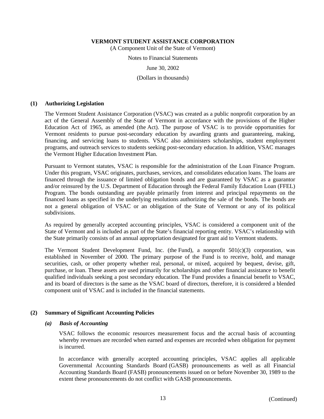(A Component Unit of the State of Vermont)

Notes to Financial Statements

June 30, 2002

(Dollars in thousands)

### **(1) Authorizing Legislation**

The Vermont Student Assistance Corporation (VSAC) was created as a public nonprofit corporation by an act of the General Assembly of the State of Vermont in accordance with the provisions of the Higher Education Act of 1965, as amended (the Act). The purpose of VSAC is to provide opportunities for Vermont residents to pursue post-secondary education by awarding grants and guaranteeing, making, financing, and servicing loans to students. VSAC also administers scholarships, student employment programs, and outreach services to students seeking post-secondary education. In addition, VSAC manages the Vermont Higher Education Investment Plan.

Pursuant to Vermont statutes, VSAC is responsible for the administration of the Loan Finance Program. Under this program, VSAC originates, purchases, services, and consolidates education loans. The loans are financed through the issuance of limited obligation bonds and are guaranteed by VSAC as a guarantor and/or reinsured by the U.S. Department of Education through the Federal Family Education Loan (FFEL) Program. The bonds outstanding are payable primarily from interest and principal repayments on the financed loans as specified in the underlying resolutions authorizing the sale of the bonds. The bonds are not a general obligation of VSAC or an obligation of the State of Vermont or any of its political subdivisions.

As required by generally accepted accounting principles, VSAC is considered a component unit of the State of Vermont and is included as part of the State's financial reporting entity. VSAC's relationship with the State primarily consists of an annual appropriation designated for grant aid to Vermont students.

The Vermont Student Development Fund, Inc. (the Fund), a nonprofit 501(c)(3) corporation, was established in November of 2000. The primary purpose of the Fund is to receive, hold, and manage securities, cash, or other property whether real, personal, or mixed, acquired by bequest, devise, gift, purchase, or loan. These assets are used primarily for scholarships and other financial assistance to benefit qualified individuals seeking a post secondary education. The Fund provides a financial benefit to VSAC, and its board of directors is the same as the VSAC board of directors, therefore, it is considered a blended component unit of VSAC and is included in the financial statements.

### **(2) Summary of Significant Accounting Policies**

#### *(a) Basis of Accounting*

VSAC follows the economic resources measurement focus and the accrual basis of accounting whereby revenues are recorded when earned and expenses are recorded when obligation for payment is incurred.

In accordance with generally accepted accounting principles, VSAC applies all applicable Governmental Accounting Standards Board (GASB) pronouncements as well as all Financial Accounting Standards Board (FASB) pronouncements issued on or before November 30, 1989 to the extent these pronouncements do not conflict with GASB pronouncements.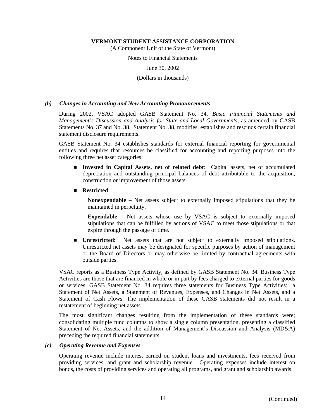(A Component Unit of the State of Vermont)

Notes to Financial Statements

June 30, 2002

(Dollars in thousands)

#### *(b) Changes in Accounting and New Accounting Pronouncements*

During 2002, VSAC adopted GASB Statement No. 34, *Basic Financial Statements and Management's Discussion and Analysis for State and Local Governments*, as amended by GASB Statements No. 37 and No. 38. Statement No. 38, modifies, establishes and rescinds certain financial statement disclosure requirements.

GASB Statement No. 34 establishes standards for external financial reporting for governmental entities and requires that resources be classified for accounting and reporting purposes into the following three net asset categories:

- **n Invested in Capital Assets, net of related debt**: Capital assets, net of accumulated depreciation and outstanding principal balances of debt attributable to the acquisition, construction or improvement of those assets.
- n **Restricted**:

**Nonexpendable –** Net assets subject to externally imposed stipulations that they be maintained in perpetuity.

**Expendable –** Net assets whose use by VSAC is subject to externally imposed stipulations that can be fulfilled by actions of VSAC to meet those stipulations or that expire through the passage of time.

**n Unrestricted**: Net assets that are not subject to externally imposed stipulations. Unrestricted net assets may be designated for specific purposes by action of management or the Board of Directors or may otherwise be limited by contractual agreements with outside parties.

VSAC reports as a Business Type Activity, as defined by GASB Statement No. 34. Business Type Activities are those that are financed in whole or in part by fees charged to external parties for goods or services. GASB Statement No. 34 requires three statements for Business Type Activities: a Statement of Net Assets, a Statement of Revenues, Expenses, and Changes in Net Assets, and a Statement of Cash Flows. The implementation of these GASB statements did not result in a restatement of beginning net assets.

The most significant changes resulting from the implementation of these standards were; consolidating multiple fund columns to show a single column presentation, presenting a classified Statement of Net Assets, and the addition of Management's Discussion and Analysis (MD&A) preceding the required financial statements.

#### *(c) Operating Revenue and Expenses*

Operating revenue include interest earned on student loans and investments, fees received from providing services, and grant and scholarship revenue. Operating expenses include interest on bonds, the costs of providing services and operating all programs, and grant and scholarship awards.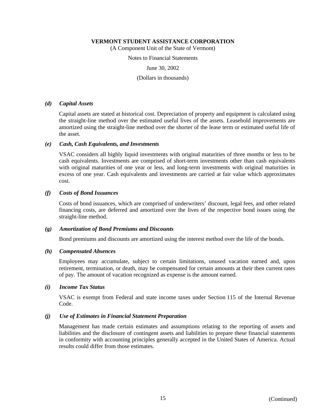(A Component Unit of the State of Vermont)

Notes to Financial Statements

June 30, 2002

(Dollars in thousands)

#### *(d) Capital Assets*

Capital assets are stated at historical cost. Depreciation of property and equipment is calculated using the straight-line method over the estimated useful lives of the assets. Leasehold improvements are amortized using the straight-line method over the shorter of the lease term or estimated useful life of the asset.

#### *(e) Cash, Cash Equivalents, and Investments*

VSAC considers all highly liquid investments with original maturities of three months or less to be cash equivalents. Investments are comprised of short-term investments other than cash equivalents with original maturities of one year or less, and long-term investments with original maturities in excess of one year. Cash equivalents and investments are carried at fair value which approximates cost.

#### *(f) Costs of Bond Issuances*

Costs of bond issuances, which are comprised of underwriters' discount, legal fees, and other related financing costs, are deferred and amortized over the lives of the respective bond issues using the straight-line method.

#### *(g) Amortization of Bond Premiums and Discounts*

Bond premiums and discounts are amortized using the interest method over the life of the bonds.

#### *(h) Compensated Absences*

Employees may accumulate, subject to certain limitations, unused vacation earned and, upon retirement, termination, or death, may be compensated for certain amounts at their then current rates of pay. The amount of vacation recognized as expense is the amount earned.

#### *(i) Income Tax Status*

VSAC is exempt from Federal and state income taxes under Section 115 of the Internal Revenue Code.

#### *(j) Use of Estimates in Financial Statement Preparation*

Management has made certain estimates and assumptions relating to the reporting of assets and liabilities and the disclosure of contingent assets and liabilities to prepare these financial statements in conformity with accounting principles generally accepted in the United States of America. Actual results could differ from those estimates.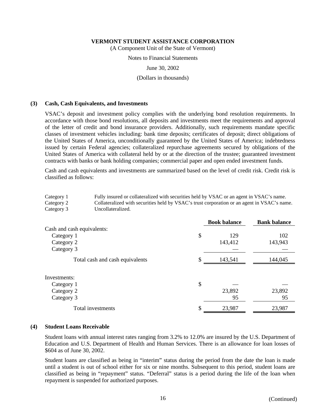(A Component Unit of the State of Vermont)

Notes to Financial Statements

June 30, 2002

(Dollars in thousands)

#### **(3) Cash, Cash Equivalents, and Investments**

VSAC's deposit and investment policy complies with the underlying bond resolution requirements. In accordance with those bond resolutions, all deposits and investments meet the requirements and approval of the letter of credit and bond insurance providers. Additionally, such requirements mandate specific classes of investment vehicles including: bank time deposits; certificates of deposit; direct obligations of the United States of America, unconditionally guaranteed by the United States of America; indebtedness issued by certain Federal agencies; collateralized repurchase agreements secured by obligations of the United States of America with collateral held by or at the direction of the trustee; guaranteed investment contracts with banks or bank holding companies; commercial paper and open ended investment funds.

Cash and cash equivalents and investments are summarized based on the level of credit risk. Credit risk is classified as follows:

| Category 1 | Fully insured or collateralized with securities held by VSAC or an agent in VSAC's name.    |
|------------|---------------------------------------------------------------------------------------------|
| Category 2 | Collateralized with securities held by VSAC's trust corporation or an agent in VSAC's name. |
| Category 3 | Uncollateralized.                                                                           |

|                                 | <b>Book balance</b> | <b>Bank balance</b> |
|---------------------------------|---------------------|---------------------|
| Cash and cash equivalents:      |                     |                     |
| Category 1                      | \$<br>129           | 102                 |
| Category 2                      | 143,412             | 143,943             |
| Category 3                      |                     |                     |
| Total cash and cash equivalents | \$<br>143,541       | 144,045             |
|                                 |                     |                     |
| Investments:                    |                     |                     |
| Category 1                      | \$                  |                     |
| Category 2                      | 23,892              | 23,892              |
| Category 3                      | 95                  | 95                  |
| Total investments               | \$<br>23,987        | 23,987              |

#### **(4) Student Loans Receivable**

Student loans with annual interest rates ranging from 3.2% to 12.0% are insured by the U.S. Department of Education and U.S. Department of Health and Human Services. There is an allowance for loan losses of \$604 as of June 30, 2002.

Student loans are classified as being in "interim" status during the period from the date the loan is made until a student is out of school either for six or nine months. Subsequent to this period, student loans are classified as being in "repayment" status. "Deferral" status is a period during the life of the loan when repayment is suspended for authorized purposes.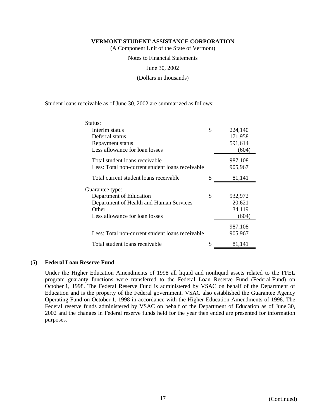(A Component Unit of the State of Vermont)

Notes to Financial Statements

June 30, 2002

(Dollars in thousands)

Student loans receivable as of June 30, 2002 are summarized as follows:

| Status:                                          |    |         |
|--------------------------------------------------|----|---------|
| Interim status                                   | \$ | 224,140 |
| Deferral status                                  |    | 171,958 |
| Repayment status                                 |    | 591,614 |
| Less allowance for loan losses                   |    | (604)   |
| Total student loans receivable                   |    | 987,108 |
| Less: Total non-current student loans receivable |    | 905,967 |
| Total current student loans receivable           | \$ | 81,141  |
| Guarantee type:                                  |    |         |
| Department of Education                          | \$ | 932,972 |
| Department of Health and Human Services          |    | 20,621  |
| Other                                            |    | 34,119  |
| Less allowance for loan losses                   |    | (604)   |
|                                                  |    | 987,108 |
| Less: Total non-current student loans receivable |    | 905,967 |
| Total student loans receivable                   | S  | 81,141  |

#### **(5) Federal Loan Reserve Fund**

Under the Higher Education Amendments of 1998 all liquid and nonliquid assets related to the FFEL program guaranty functions were transferred to the Federal Loan Reserve Fund (Federal Fund) on October 1, 1998. The Federal Reserve Fund is administered by VSAC on behalf of the Department of Education and is the property of the Federal government. VSAC also established the Guarantee Agency Operating Fund on October 1, 1998 in accordance with the Higher Education Amendments of 1998. The Federal reserve funds administered by VSAC on behalf of the Department of Education as of June 30, 2002 and the changes in Federal reserve funds held for the year then ended are presented for information purposes.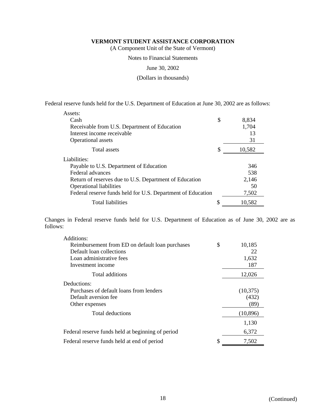(A Component Unit of the State of Vermont)

Notes to Financial Statements

June 30, 2002

(Dollars in thousands)

Federal reserve funds held for the U.S. Department of Education at June 30, 2002 are as follows:

| Assets:                                                     |   |        |
|-------------------------------------------------------------|---|--------|
| Cash                                                        | S | 8.834  |
| Receivable from U.S. Department of Education                |   | 1,704  |
| Interest income receivable                                  |   | 13     |
| <b>Operational</b> assets                                   |   | 31     |
| Total assets                                                | S | 10,582 |
| Liabilities:                                                |   |        |
| Payable to U.S. Department of Education                     |   | 346    |
| Federal advances                                            |   | 538    |
| Return of reserves due to U.S. Department of Education      |   | 2,146  |
| <b>Operational liabilities</b>                              |   | 50     |
| Federal reserve funds held for U.S. Department of Education |   | 7,502  |
| <b>Total liabilities</b>                                    |   | 10,582 |

Changes in Federal reserve funds held for U.S. Department of Education as of June 30, 2002 are as follows:

| Additions:                                        |              |
|---------------------------------------------------|--------------|
| Reimbursement from ED on default loan purchases   | \$<br>10,185 |
| Default loan collections                          | 22           |
| Loan administrative fees                          | 1,632        |
| Investment income                                 | 187          |
| Total additions                                   | 12,026       |
| Deductions:                                       |              |
| Purchases of default loans from lenders           | (10, 375)    |
| Default aversion fee                              | (432)        |
| Other expenses                                    | (89)         |
| Total deductions                                  | (10, 896)    |
|                                                   | 1,130        |
| Federal reserve funds held at beginning of period | 6,372        |
| Federal reserve funds held at end of period       | \$<br>7,502  |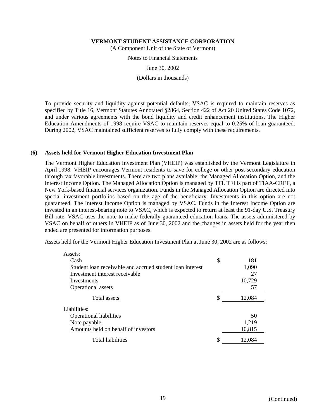(A Component Unit of the State of Vermont)

Notes to Financial Statements

June 30, 2002

(Dollars in thousands)

To provide security and liquidity against potential defaults, VSAC is required to maintain reserves as specified by Title 16, Vermont Statutes Annotated §2864, Section 422 of Act 20 United States Code 1072, and under various agreements with the bond liquidity and credit enhancement institutions. The Higher Education Amendments of 1998 require VSAC to maintain reserves equal to 0.25% of loan guaranteed. During 2002, VSAC maintained sufficient reserves to fully comply with these requirements.

#### **(6) Assets held for Vermont Higher Education Investment Plan**

The Vermont Higher Education Investment Plan (VHEIP) was established by the Vermont Legislature in April 1998. VHEIP encourages Vermont residents to save for college or other post-secondary education through tax favorable investments. There are two plans available: the Managed Allocation Option, and the Interest Income Option. The Managed Allocation Option is managed by TFI. TFI is part of TIAA-CREF, a New York-based financial services organization. Funds in the Managed Allocation Option are directed into special investment portfolios based on the age of the beneficiary. Investments in this option are not guaranteed. The Interest Income Option is managed by VSAC. Funds in the Interest Income Option are invested in an interest-bearing note to VSAC, which is expected to return at least the 91-day U.S. Treasury Bill rate. VSAC uses the note to make federally guaranteed education loans. The assets administered by VSAC on behalf of others in VHEIP as of June 30, 2002 and the changes in assets held for the year then ended are presented for information purposes.

Assets held for the Vermont Higher Education Investment Plan at June 30, 2002 are as follows:

| Assets:                                                   |              |
|-----------------------------------------------------------|--------------|
| Cash                                                      | \$<br>181    |
| Student loan receivable and accrued student loan interest | 1,090        |
| Investment interest receivable                            | 27           |
| Investments                                               | 10,729       |
| Operational assets                                        | 57           |
| Total assets                                              | \$<br>12,084 |
| Liabilities:                                              |              |
| <b>Operational liabilities</b>                            | 50           |
| Note payable                                              | 1,219        |
| Amounts held on behalf of investors                       | 10,815       |
| <b>Total liabilities</b>                                  | \$<br>12,084 |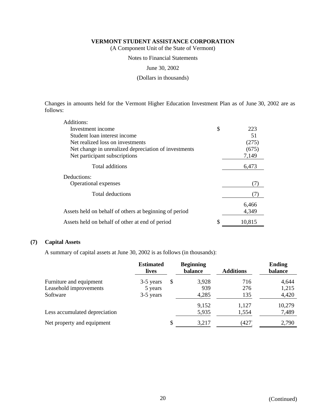(A Component Unit of the State of Vermont)

#### Notes to Financial Statements

June 30, 2002

(Dollars in thousands)

Changes in amounts held for the Vermont Higher Education Investment Plan as of June 30, 2002 are as follows:

| Additions:                                             |           |
|--------------------------------------------------------|-----------|
| Investment income                                      | \$<br>223 |
| Student loan interest income                           | 51        |
| Net realized loss on investments                       | (275)     |
| Net change in unrealized depreciation of investments   | (675)     |
| Net participant subscriptions                          | 7,149     |
| Total additions                                        | 6,473     |
| Deductions:                                            |           |
| <b>Operational expenses</b>                            | (7        |
| <b>Total deductions</b>                                | (7)       |
|                                                        | 6,466     |
| Assets held on behalf of others at beginning of period | 4,349     |
| Assets held on behalf of other at end of period        | 10,815    |

#### **(7) Capital Assets**

A summary of capital assets at June 30, 2002 is as follows (in thousands):

|                               | <b>Estimated</b><br>lives |   | <b>Beginning</b><br>balance | <b>Additions</b> | <b>Ending</b><br>balance |
|-------------------------------|---------------------------|---|-----------------------------|------------------|--------------------------|
| Furniture and equipment       | 3-5 years                 | S | 3,928                       | 716              | 4,644                    |
| Leasehold improvements        | 5 years                   |   | 939                         | 276              | 1,215                    |
| Software                      | 3-5 years                 |   | 4,285                       | 135              | 4,420                    |
|                               |                           |   | 9,152                       | 1,127            | 10,279                   |
| Less accumulated depreciation |                           |   | 5,935                       | 1,554            | 7,489                    |
| Net property and equipment    |                           | S | 3,217                       | (427             | 2,790                    |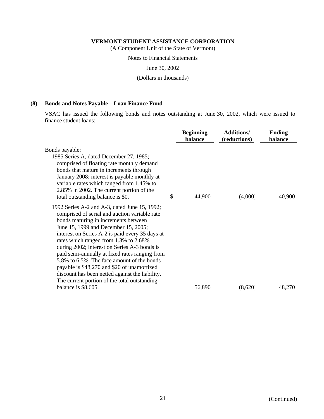(A Component Unit of the State of Vermont)

Notes to Financial Statements

June 30, 2002

(Dollars in thousands)

### **(8) Bonds and Notes Payable – Loan Finance Fund**

VSAC has issued the following bonds and notes outstanding at June 30, 2002, which were issued to finance student loans:

|                                                                                                                                                                                                                                                                                                                                                                                                                                                                                                                                                                              | <b>Beginning</b><br>balance | <b>Additions/</b><br>(reductions) | <b>Ending</b><br>balance |
|------------------------------------------------------------------------------------------------------------------------------------------------------------------------------------------------------------------------------------------------------------------------------------------------------------------------------------------------------------------------------------------------------------------------------------------------------------------------------------------------------------------------------------------------------------------------------|-----------------------------|-----------------------------------|--------------------------|
| Bonds payable:<br>1985 Series A, dated December 27, 1985;<br>comprised of floating rate monthly demand<br>bonds that mature in increments through<br>January 2008; interest is payable monthly at<br>variable rates which ranged from 1.45% to<br>2.85% in 2002. The current portion of the<br>total outstanding balance is \$0.                                                                                                                                                                                                                                             | \$<br>44,900                | (4,000)                           | 40,900                   |
| 1992 Series A-2 and A-3, dated June 15, 1992;<br>comprised of serial and auction variable rate<br>bonds maturing in increments between<br>June 15, 1999 and December 15, 2005;<br>interest on Series A-2 is paid every 35 days at<br>rates which ranged from 1.3% to 2.68%<br>during 2002; interest on Series A-3 bonds is<br>paid semi-annually at fixed rates ranging from<br>5.8% to 6.5%. The face amount of the bonds<br>payable is \$48,270 and \$20 of unamortized<br>discount has been netted against the liability.<br>The current portion of the total outstanding |                             |                                   |                          |
| balance is \$8,605.                                                                                                                                                                                                                                                                                                                                                                                                                                                                                                                                                          | 56,890                      | (8,620)                           | 48,270                   |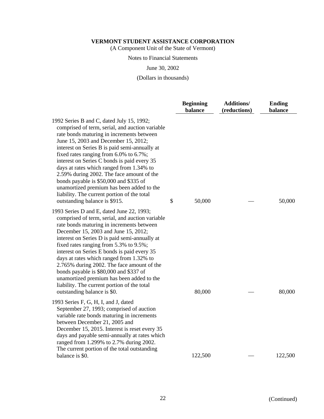(A Component Unit of the State of Vermont)

#### Notes to Financial Statements

June 30, 2002

(Dollars in thousands)

|                                                                                                                                                                                                                                                                                                                                                                                                                                                                                                                                                                                             | <b>Beginning</b><br>balance | <b>Additions/</b><br>(reductions) | <b>Ending</b><br>balance |
|---------------------------------------------------------------------------------------------------------------------------------------------------------------------------------------------------------------------------------------------------------------------------------------------------------------------------------------------------------------------------------------------------------------------------------------------------------------------------------------------------------------------------------------------------------------------------------------------|-----------------------------|-----------------------------------|--------------------------|
| 1992 Series B and C, dated July 15, 1992;<br>comprised of term, serial, and auction variable<br>rate bonds maturing in increments between<br>June 15, 2003 and December 15, 2012;<br>interest on Series B is paid semi-annually at<br>fixed rates ranging from 6.0% to 6.7%;<br>interest on Series C bonds is paid every 35<br>days at rates which ranged from 1.34% to<br>2.59% during 2002. The face amount of the<br>bonds payable is \$50,000 and \$335 of<br>unamortized premium has been added to the<br>liability. The current portion of the total<br>outstanding balance is \$915. | \$<br>50,000                |                                   | 50,000                   |
| 1993 Series D and E, dated June 22, 1993;<br>comprised of term, serial, and auction variable<br>rate bonds maturing in increments between<br>December 15, 2003 and June 15, 2012;<br>interest on Series D is paid semi-annually at<br>fixed rates ranging from 5.3% to 9.5%;<br>interest on Series E bonds is paid every 35<br>days at rates which ranged from 1.32% to<br>2.765% during 2002. The face amount of the<br>bonds payable is \$80,000 and \$337 of<br>unamortized premium has been added to the<br>liability. The current portion of the total<br>outstanding balance is \$0.  | 80,000                      |                                   | 80,000                   |
| 1993 Series F, G, H, I, and J, dated<br>September 27, 1993; comprised of auction<br>variable rate bonds maturing in increments<br>between December 21, 2005 and<br>December 15, 2015. Interest is reset every 35<br>days and payable semi-annually at rates which<br>ranged from 1.299% to 2.7% during 2002.<br>The current portion of the total outstanding<br>balance is \$0.                                                                                                                                                                                                             | 122,500                     |                                   | 122,500                  |
|                                                                                                                                                                                                                                                                                                                                                                                                                                                                                                                                                                                             |                             |                                   |                          |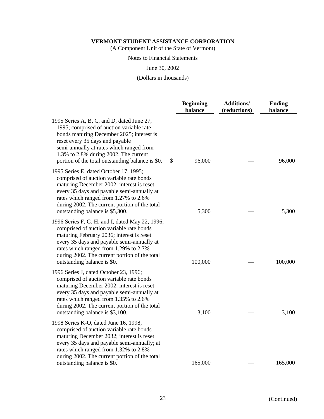(A Component Unit of the State of Vermont)

#### Notes to Financial Statements

June 30, 2002

(Dollars in thousands)

|                                                                                                                                                                                                                                                                                                                 | <b>Beginning</b><br>balance | <b>Additions/</b><br>(reductions) | <b>Ending</b><br>balance |
|-----------------------------------------------------------------------------------------------------------------------------------------------------------------------------------------------------------------------------------------------------------------------------------------------------------------|-----------------------------|-----------------------------------|--------------------------|
| 1995 Series A, B, C, and D, dated June 27,<br>1995; comprised of auction variable rate<br>bonds maturing December 2025; interest is<br>reset every 35 days and payable<br>semi-annually at rates which ranged from<br>1.3% to 2.8% during 2002. The current<br>portion of the total outstanding balance is \$0. | \$<br>96,000                |                                   | 96,000                   |
| 1995 Series E, dated October 17, 1995;<br>comprised of auction variable rate bonds<br>maturing December 2002; interest is reset<br>every 35 days and payable semi-annually at<br>rates which ranged from 1.27% to 2.6%<br>during 2002. The current portion of the total<br>outstanding balance is \$5,300.      | 5,300                       |                                   | 5,300                    |
| 1996 Series F, G, H, and I, dated May 22, 1996;<br>comprised of auction variable rate bonds<br>maturing February 2036; interest is reset<br>every 35 days and payable semi-annually at<br>rates which ranged from 1.29% to 2.7%<br>during 2002. The current portion of the total<br>outstanding balance is \$0. | 100,000                     |                                   | 100,000                  |
| 1996 Series J, dated October 23, 1996;<br>comprised of auction variable rate bonds<br>maturing December 2002; interest is reset<br>every 35 days and payable semi-annually at<br>rates which ranged from 1.35% to 2.6%<br>during 2002. The current portion of the total<br>outstanding balance is \$3,100.      | 3,100                       |                                   | 3,100                    |
| 1998 Series K-O, dated June 16, 1998;<br>comprised of auction variable rate bonds<br>maturing December 2032; interest is reset<br>every 35 days and payable semi-annually; at<br>rates which ranged from 1.32% to 2.8%<br>during 2002. The current portion of the total                                         |                             |                                   |                          |
| outstanding balance is \$0.                                                                                                                                                                                                                                                                                     | 165,000                     |                                   | 165,000                  |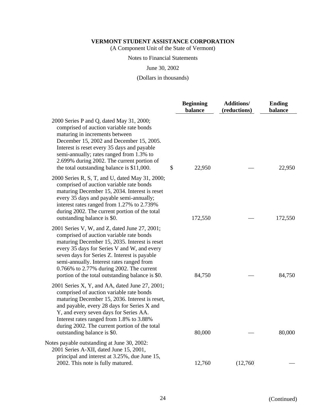(A Component Unit of the State of Vermont)

### Notes to Financial Statements

June 30, 2002

(Dollars in thousands)

|                                                                                                                                                                                                                                                                                                                                                                                        | <b>Beginning</b><br>balance | <b>Additions/</b><br>(reductions) | <b>Ending</b><br>balance |
|----------------------------------------------------------------------------------------------------------------------------------------------------------------------------------------------------------------------------------------------------------------------------------------------------------------------------------------------------------------------------------------|-----------------------------|-----------------------------------|--------------------------|
| 2000 Series P and Q, dated May 31, 2000;<br>comprised of auction variable rate bonds<br>maturing in increments between<br>December 15, 2002 and December 15, 2005.<br>Interest is reset every 35 days and payable<br>semi-annually; rates ranged from 1.3% to<br>2.699% during 2002. The current portion of<br>the total outstanding balance is \$11,000.                              | \$<br>22,950                |                                   | 22,950                   |
| 2000 Series R, S, T, and U, dated May 31, 2000;<br>comprised of auction variable rate bonds<br>maturing December 15, 2034. Interest is reset<br>every 35 days and payable semi-annually;<br>interest rates ranged from 1.27% to 2.739%<br>during 2002. The current portion of the total<br>outstanding balance is \$0.                                                                 | 172,550                     |                                   | 172,550                  |
| 2001 Series V, W, and Z, dated June 27, 2001;<br>comprised of auction variable rate bonds<br>maturing December 15, 2035. Interest is reset<br>every 35 days for Series V and W, and every<br>seven days for Series Z. Interest is payable<br>semi-annually. Interest rates ranged from<br>0.766% to 2.77% during 2002. The current<br>portion of the total outstanding balance is \$0. | 84,750                      |                                   | 84,750                   |
| 2001 Series X, Y, and AA, dated June 27, 2001;<br>comprised of auction variable rate bonds<br>maturing December 15, 2036. Interest is reset,<br>and payable, every 28 days for Series X and<br>Y, and every seven days for Series AA.<br>Interest rates ranged from 1.8% to 3.88%<br>during 2002. The current portion of the total<br>outstanding balance is \$0.                      | 80,000                      |                                   | 80,000                   |
| Notes payable outstanding at June 30, 2002:<br>2001 Series A-XII, dated June 15, 2001,<br>principal and interest at 3.25%, due June 15,<br>2002. This note is fully matured.                                                                                                                                                                                                           | 12,760                      | (12,760)                          |                          |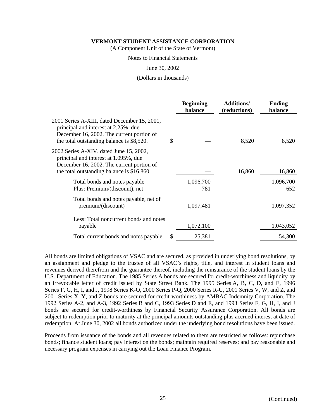(A Component Unit of the State of Vermont)

### Notes to Financial Statements

June 30, 2002

(Dollars in thousands)

|                                                                                                                                                                                | <b>Beginning</b><br>balance | <b>Additions/</b><br>(reductions) | <b>Ending</b><br>balance |
|--------------------------------------------------------------------------------------------------------------------------------------------------------------------------------|-----------------------------|-----------------------------------|--------------------------|
| 2001 Series A-XIII, dated December 15, 2001,<br>principal and interest at 2.25%, due<br>December 16, 2002. The current portion of<br>the total outstanding balance is \$8,520. | \$                          | 8,520                             | 8,520                    |
| 2002 Series A-XIV, dated June 15, 2002,<br>principal and interest at 1.095%, due<br>December 16, 2002. The current portion of<br>the total outstanding balance is \$16,860.    |                             | 16,860                            | 16,860                   |
| Total bonds and notes payable<br>Plus: Premium/(discount), net                                                                                                                 | 1,096,700<br>781            |                                   | 1,096,700<br>652         |
| Total bonds and notes payable, net of<br>premium/(discount)                                                                                                                    | 1,097,481                   |                                   | 1,097,352                |
| Less: Total noncurrent bonds and notes<br>payable                                                                                                                              | 1,072,100                   |                                   | 1,043,052                |
| Total current bonds and notes payable                                                                                                                                          | \$<br>25,381                |                                   | 54,300                   |

All bonds are limited obligations of VSAC and are secured, as provided in underlying bond resolutions, by an assignment and pledge to the trustee of all VSAC's rights, title, and interest in student loans and revenues derived therefrom and the guarantee thereof, including the reinsurance of the student loans by the U.S. Department of Education. The 1985 Series A bonds are secured for credit-worthiness and liquidity by an irrevocable letter of credit issued by State Street Bank. The 1995 Series A, B, C, D, and E, 1996 Series F, G, H, I, and J, 1998 Series K-O, 2000 Series P-Q, 2000 Series R-U, 2001 Series V, W, and Z, and 2001 Series X, Y, and Z bonds are secured for credit-worthiness by AMBAC Indemnity Corporation. The 1992 Series A-2, and A-3, 1992 Series B and C, 1993 Series D and E, and 1993 Series F, G, H, I, and J bonds are secured for credit-worthiness by Financial Security Assurance Corporation. All bonds are subject to redemption prior to maturity at the principal amounts outstanding plus accrued interest at date of redemption. At June 30, 2002 all bonds authorized under the underlying bond resolutions have been issued.

Proceeds from issuance of the bonds and all revenues related to them are restricted as follows: repurchase bonds; finance student loans; pay interest on the bonds; maintain required reserves; and pay reasonable and necessary program expenses in carrying out the Loan Finance Program.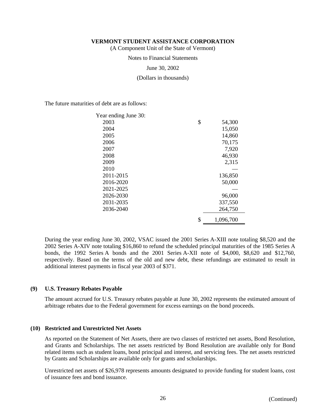(A Component Unit of the State of Vermont)

Notes to Financial Statements

June 30, 2002

(Dollars in thousands)

The future maturities of debt are as follows:

| Year ending June 30: |                 |
|----------------------|-----------------|
| 2003                 | \$<br>54,300    |
| 2004                 | 15,050          |
| 2005                 | 14,860          |
| 2006                 | 70,175          |
| 2007                 | 7,920           |
| 2008                 | 46,930          |
| 2009                 | 2,315           |
| 2010                 |                 |
| 2011-2015            | 136,850         |
| 2016-2020            | 50,000          |
| 2021-2025            |                 |
| 2026-2030            | 96,000          |
| 2031-2035            | 337,550         |
| 2036-2040            | 264,750         |
|                      | \$<br>1,096,700 |

During the year ending June 30, 2002, VSAC issued the 2001 Series A-XIII note totaling \$8,520 and the 2002 Series A-XIV note totaling \$16,860 to refund the scheduled principal maturities of the 1985 Series A bonds, the 1992 Series A bonds and the 2001 Series A-XII note of \$4,000, \$8,620 and \$12,760, respectively. Based on the terms of the old and new debt, these refundings are estimated to result in additional interest payments in fiscal year 2003 of \$371.

#### **(9) U.S. Treasury Rebates Payable**

The amount accrued for U.S. Treasury rebates payable at June 30, 2002 represents the estimated amount of arbitrage rebates due to the Federal government for excess earnings on the bond proceeds.

#### **(10) Restricted and Unrestricted Net Assets**

As reported on the Statement of Net Assets, there are two classes of restricted net assets, Bond Resolution, and Grants and Scholarships. The net assets restricted by Bond Resolution are available only for Bond related items such as student loans, bond principal and interest, and servicing fees. The net assets restricted by Grants and Scholarships are available only for grants and scholarships.

Unrestricted net assets of \$26,978 represents amounts designated to provide funding for student loans, cost of issuance fees and bond issuance.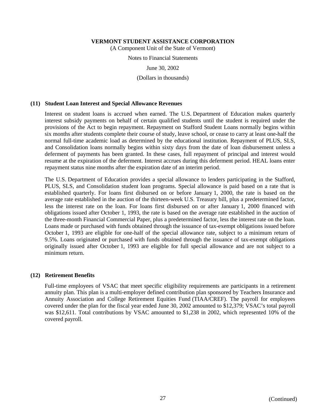(A Component Unit of the State of Vermont)

Notes to Financial Statements

June 30, 2002

(Dollars in thousands)

#### **(11) Student Loan Interest and Special Allowance Revenues**

Interest on student loans is accrued when earned. The U.S. Department of Education makes quarterly interest subsidy payments on behalf of certain qualified students until the student is required under the provisions of the Act to begin repayment. Repayment on Stafford Student Loans normally begins within six months after students complete their course of study, leave school, or cease to carry at least one-half the normal full-time academic load as determined by the educational institution. Repayment of PLUS, SLS, and Consolidation loans normally begins within sixty days from the date of loan disbursement unless a deferment of payments has been granted. In these cases, full repayment of principal and interest would resume at the expiration of the deferment. Interest accrues during this deferment period. HEAL loans enter repayment status nine months after the expiration date of an interim period.

The U.S. Department of Education provides a special allowance to lenders participating in the Stafford, PLUS, SLS, and Consolidation student loan programs. Special allowance is paid based on a rate that is established quarterly. For loans first disbursed on or before January 1, 2000, the rate is based on the average rate established in the auction of the thirteen-week U.S. Treasury bill, plus a predetermined factor, less the interest rate on the loan. For loans first disbursed on or after January 1, 2000 financed with obligations issued after October 1, 1993, the rate is based on the average rate established in the auction of the three-month Financial Commercial Paper, plus a predetermined factor, less the interest rate on the loan. Loans made or purchased with funds obtained through the issuance of tax-exempt obligations issued before October 1, 1993 are eligible for one-half of the special allowance rate, subject to a minimum return of 9.5%. Loans originated or purchased with funds obtained through the issuance of tax-exempt obligations originally issued after October 1, 1993 are eligible for full special allowance and are not subject to a minimum return.

#### **(12) Retirement Benefits**

Full-time employees of VSAC that meet specific eligibility requirements are participants in a retirement annuity plan. This plan is a multi-employer defined contribution plan sponsored by Teachers Insurance and Annuity Association and College Retirement Equities Fund (TIAA/CREF). The payroll for employees covered under the plan for the fiscal year ended June 30, 2002 amounted to \$12,379; VSAC's total payroll was \$12,611. Total contributions by VSAC amounted to \$1,238 in 2002, which represented 10% of the covered payroll.